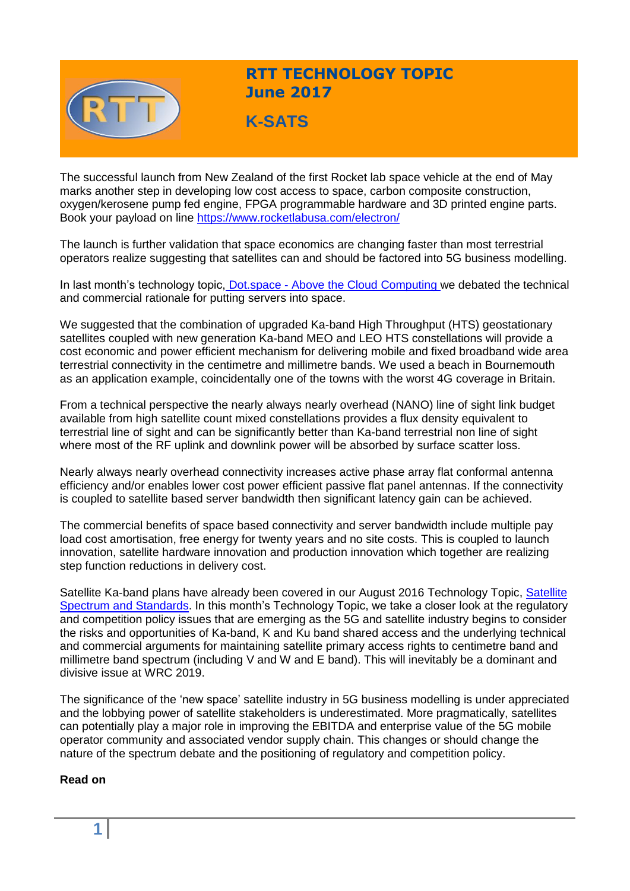

# **RTT TECHNOLOGY TOPIC June 2017**

**K-SATS**

The successful launch from New Zealand of the first Rocket lab space vehicle at the end of May marks another step in developing low cost access to space, carbon composite construction, oxygen/kerosene pump fed engine, FPGA programmable hardware and 3D printed engine parts. Book your payload on line <https://www.rocketlabusa.com/electron/>

The launch is further validation that space economics are changing faster than most terrestrial operators realize suggesting that satellites can and should be factored into 5G business modelling.

In last month's technology topic, Dot.space - [Above the Cloud Computing](http://www.rttonline.com/tt/TT2017_005.pdf) we debated the technical and commercial rationale for putting servers into space.

We suggested that the combination of upgraded Ka-band High Throughput (HTS) geostationary satellites coupled with new generation Ka-band MEO and LEO HTS constellations will provide a cost economic and power efficient mechanism for delivering mobile and fixed broadband wide area terrestrial connectivity in the centimetre and millimetre bands. We used a beach in Bournemouth as an application example, coincidentally one of the towns with the worst 4G coverage in Britain.

From a technical perspective the nearly always nearly overhead (NANO) line of sight link budget available from high satellite count mixed constellations provides a flux density equivalent to terrestrial line of sight and can be significantly better than Ka-band terrestrial non line of sight where most of the RF uplink and downlink power will be absorbed by surface scatter loss.

Nearly always nearly overhead connectivity increases active phase array flat conformal antenna efficiency and/or enables lower cost power efficient passive flat panel antennas. If the connectivity is coupled to satellite based server bandwidth then significant latency gain can be achieved.

The commercial benefits of space based connectivity and server bandwidth include multiple pay load cost amortisation, free energy for twenty years and no site costs. This is coupled to launch innovation, satellite hardware innovation and production innovation which together are realizing step function reductions in delivery cost.

Satellite Ka-band plans have already been covered in our August 2016 Technology Topic, Satellite [Spectrum and Standards.](http://www.rttonline.com/sitemap.html) In this month's Technology Topic, we take a closer look at the regulatory and competition policy issues that are emerging as the 5G and satellite industry begins to consider the risks and opportunities of Ka-band, K and Ku band shared access and the underlying technical and commercial arguments for maintaining satellite primary access rights to centimetre band and millimetre band spectrum (including V and W and E band). This will inevitably be a dominant and divisive issue at WRC 2019.

The significance of the 'new space' satellite industry in 5G business modelling is under appreciated and the lobbying power of satellite stakeholders is underestimated. More pragmatically, satellites can potentially play a major role in improving the EBITDA and enterprise value of the 5G mobile operator community and associated vendor supply chain. This changes or should change the nature of the spectrum debate and the positioning of regulatory and competition policy.

## **Read on**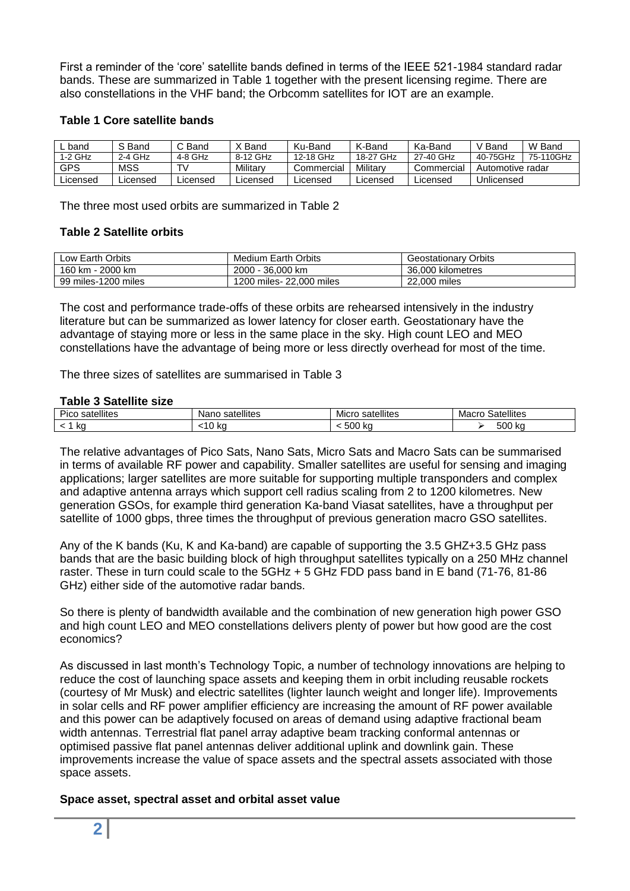First a reminder of the 'core' satellite bands defined in terms of the IEEE 521-1984 standard radar bands. These are summarized in Table 1 together with the present licensing regime. There are also constellations in the VHF band; the Orbcomm satellites for IOT are an example.

#### **Table 1 Core satellite bands**

| band       | S Band   | C Band    | X Band   | Ku-Band    | K-Band    | Ka-Band    | V Band           | W Band    |
|------------|----------|-----------|----------|------------|-----------|------------|------------------|-----------|
| 1-2 GHz    | 2-4 GHz  | $4-8$ GHz | 8-12 GHz | 12-18 GHz  | 18-27 GHz | 27-40 GHz  | 40-75GHz         | 75-110GHz |
| <b>GPS</b> | MSS      | T۷        | Military | Commercial | Militarv  | Commercial | Automotive radar |           |
| ∟icensed   | Licensed | Licensed  | _icensed | ∟icensed   | _icensed  | Licensed   | Unlicensed       |           |

The three most used orbits are summarized in Table 2

## **Table 2 Satellite orbits**

| Low Earth Orbits    | <b>Medium Earth Orbits</b> | <b>Geostationary Orbits</b> |
|---------------------|----------------------------|-----------------------------|
| 160 km - 2000 km    | 2000 - 36,000 km           | 36,000 kilometres           |
| 99 miles-1200 miles | 1200 miles- 22,000 miles   | 22,000 miles                |

The cost and performance trade-offs of these orbits are rehearsed intensively in the industry literature but can be summarized as lower latency for closer earth. Geostationary have the advantage of staying more or less in the same place in the sky. High count LEO and MEO constellations have the advantage of being more or less directly overhead for most of the time.

The three sizes of satellites are summarised in Table 3

#### **Table 3 Satellite size**

| .                            |                     |                     |                     |  |  |  |  |  |
|------------------------------|---------------------|---------------------|---------------------|--|--|--|--|--|
| .<br>-<br>satellites<br>PICC | satellites<br>-Nanc | satellites<br>Micro | Satellites<br>Macro |  |  |  |  |  |
| ka                           | .<br>n.<br>ιU       | 500<br>ำ N⊾         | 500'<br>Iz c<br>n   |  |  |  |  |  |

The relative advantages of Pico Sats, Nano Sats, Micro Sats and Macro Sats can be summarised in terms of available RF power and capability. Smaller satellites are useful for sensing and imaging applications; larger satellites are more suitable for supporting multiple transponders and complex and adaptive antenna arrays which support cell radius scaling from 2 to 1200 kilometres. New generation GSOs, for example third generation Ka-band Viasat satellites, have a throughput per satellite of 1000 gbps, three times the throughput of previous generation macro GSO satellites.

Any of the K bands (Ku, K and Ka-band) are capable of supporting the 3.5 GHZ+3.5 GHz pass bands that are the basic building block of high throughput satellites typically on a 250 MHz channel raster. These in turn could scale to the 5GHz + 5 GHz FDD pass band in E band (71-76, 81-86 GHz) either side of the automotive radar bands.

So there is plenty of bandwidth available and the combination of new generation high power GSO and high count LEO and MEO constellations delivers plenty of power but how good are the cost economics?

As discussed in last month's Technology Topic, a number of technology innovations are helping to reduce the cost of launching space assets and keeping them in orbit including reusable rockets (courtesy of Mr Musk) and electric satellites (lighter launch weight and longer life). Improvements in solar cells and RF power amplifier efficiency are increasing the amount of RF power available and this power can be adaptively focused on areas of demand using adaptive fractional beam width antennas. Terrestrial flat panel array adaptive beam tracking conformal antennas or optimised passive flat panel antennas deliver additional uplink and downlink gain. These improvements increase the value of space assets and the spectral assets associated with those space assets.

#### **Space asset, spectral asset and orbital asset value**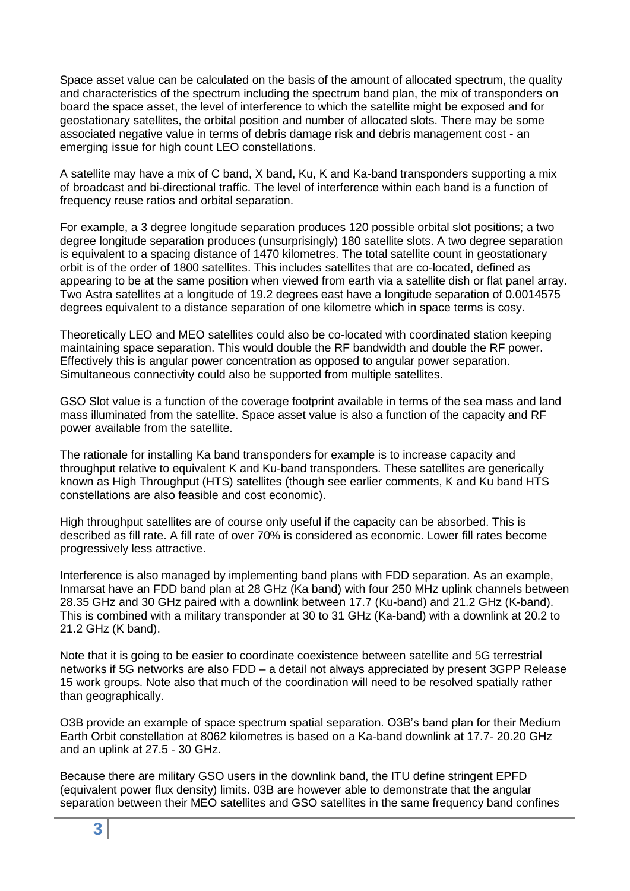Space asset value can be calculated on the basis of the amount of allocated spectrum, the quality and characteristics of the spectrum including the spectrum band plan, the mix of transponders on board the space asset, the level of interference to which the satellite might be exposed and for geostationary satellites, the orbital position and number of allocated slots. There may be some associated negative value in terms of debris damage risk and debris management cost - an emerging issue for high count LEO constellations.

A satellite may have a mix of C band, X band, Ku, K and Ka-band transponders supporting a mix of broadcast and bi-directional traffic. The level of interference within each band is a function of frequency reuse ratios and orbital separation.

For example, a 3 degree longitude separation produces 120 possible orbital slot positions; a two degree longitude separation produces (unsurprisingly) 180 satellite slots. A two degree separation is equivalent to a spacing distance of 1470 kilometres. The total satellite count in geostationary orbit is of the order of 1800 satellites. This includes satellites that are co-located, defined as appearing to be at the same position when viewed from earth via a satellite dish or flat panel array. Two Astra satellites at a longitude of 19.2 degrees east have a longitude separation of 0.0014575 degrees equivalent to a distance separation of one kilometre which in space terms is cosy.

Theoretically LEO and MEO satellites could also be co-located with coordinated station keeping maintaining space separation. This would double the RF bandwidth and double the RF power. Effectively this is angular power concentration as opposed to angular power separation. Simultaneous connectivity could also be supported from multiple satellites.

GSO Slot value is a function of the coverage footprint available in terms of the sea mass and land mass illuminated from the satellite. Space asset value is also a function of the capacity and RF power available from the satellite.

The rationale for installing Ka band transponders for example is to increase capacity and throughput relative to equivalent K and Ku-band transponders. These satellites are generically known as High Throughput (HTS) satellites (though see earlier comments, K and Ku band HTS constellations are also feasible and cost economic).

High throughput satellites are of course only useful if the capacity can be absorbed. This is described as fill rate. A fill rate of over 70% is considered as economic. Lower fill rates become progressively less attractive.

Interference is also managed by implementing band plans with FDD separation. As an example, Inmarsat have an FDD band plan at 28 GHz (Ka band) with four 250 MHz uplink channels between 28.35 GHz and 30 GHz paired with a downlink between 17.7 (Ku-band) and 21.2 GHz (K-band). This is combined with a military transponder at 30 to 31 GHz (Ka-band) with a downlink at 20.2 to 21.2 GHz (K band).

Note that it is going to be easier to coordinate coexistence between satellite and 5G terrestrial networks if 5G networks are also FDD – a detail not always appreciated by present 3GPP Release 15 work groups. Note also that much of the coordination will need to be resolved spatially rather than geographically.

O3B provide an example of space spectrum spatial separation. O3B's band plan for their Medium Earth Orbit constellation at 8062 kilometres is based on a Ka-band downlink at 17.7- 20.20 GHz and an uplink at 27.5 - 30 GHz.

Because there are military GSO users in the downlink band, the ITU define stringent EPFD (equivalent power flux density) limits. 03B are however able to demonstrate that the angular separation between their MEO satellites and GSO satellites in the same frequency band confines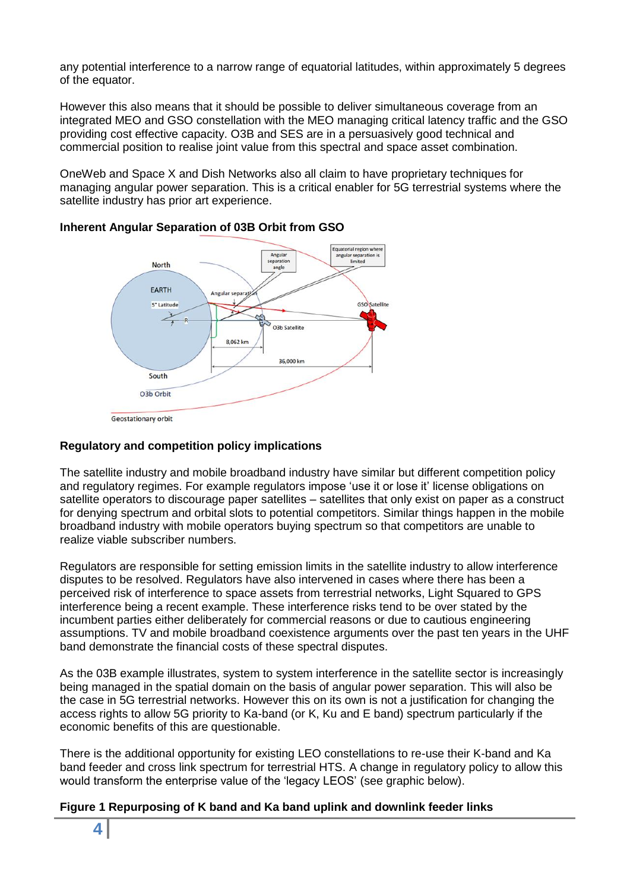any potential interference to a narrow range of equatorial latitudes, within approximately 5 degrees of the equator.

However this also means that it should be possible to deliver simultaneous coverage from an integrated MEO and GSO constellation with the MEO managing critical latency traffic and the GSO providing cost effective capacity. O3B and SES are in a persuasively good technical and commercial position to realise joint value from this spectral and space asset combination.

OneWeb and Space X and Dish Networks also all claim to have proprietary techniques for managing angular power separation. This is a critical enabler for 5G terrestrial systems where the satellite industry has prior art experience.



## **Inherent Angular Separation of 03B Orbit from GSO**

**Geostationary orbit** 

## **Regulatory and competition policy implications**

The satellite industry and mobile broadband industry have similar but different competition policy and regulatory regimes. For example regulators impose 'use it or lose it' license obligations on satellite operators to discourage paper satellites – satellites that only exist on paper as a construct for denying spectrum and orbital slots to potential competitors. Similar things happen in the mobile broadband industry with mobile operators buying spectrum so that competitors are unable to realize viable subscriber numbers.

Regulators are responsible for setting emission limits in the satellite industry to allow interference disputes to be resolved. Regulators have also intervened in cases where there has been a perceived risk of interference to space assets from terrestrial networks, Light Squared to GPS interference being a recent example. These interference risks tend to be over stated by the incumbent parties either deliberately for commercial reasons or due to cautious engineering assumptions. TV and mobile broadband coexistence arguments over the past ten years in the UHF band demonstrate the financial costs of these spectral disputes.

As the 03B example illustrates, system to system interference in the satellite sector is increasingly being managed in the spatial domain on the basis of angular power separation. This will also be the case in 5G terrestrial networks. However this on its own is not a justification for changing the access rights to allow 5G priority to Ka-band (or K, Ku and E band) spectrum particularly if the economic benefits of this are questionable.

There is the additional opportunity for existing LEO constellations to re-use their K-band and Ka band feeder and cross link spectrum for terrestrial HTS. A change in regulatory policy to allow this would transform the enterprise value of the 'legacy LEOS' (see graphic below).

## **Figure 1 Repurposing of K band and Ka band uplink and downlink feeder links**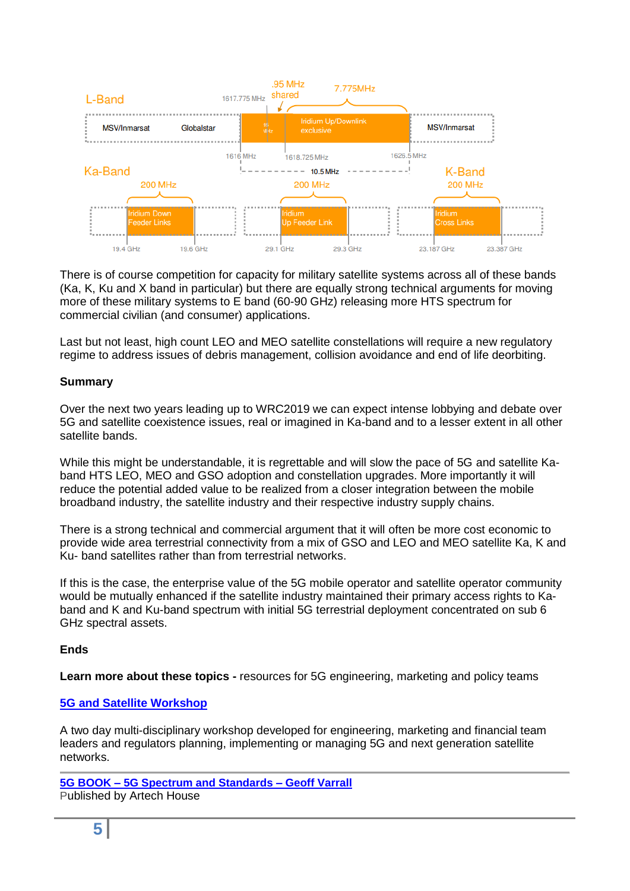

There is of course competition for capacity for military satellite systems across all of these bands (Ka, K, Ku and X band in particular) but there are equally strong technical arguments for moving more of these military systems to E band (60-90 GHz) releasing more HTS spectrum for commercial civilian (and consumer) applications.

Last but not least, high count LEO and MEO satellite constellations will require a new regulatory regime to address issues of debris management, collision avoidance and end of life deorbiting.

## **Summary**

Over the next two years leading up to WRC2019 we can expect intense lobbying and debate over 5G and satellite coexistence issues, real or imagined in Ka-band and to a lesser extent in all other satellite bands.

While this might be understandable, it is regrettable and will slow the pace of 5G and satellite Kaband HTS LEO, MEO and GSO adoption and constellation upgrades. More importantly it will reduce the potential added value to be realized from a closer integration between the mobile broadband industry, the satellite industry and their respective industry supply chains.

There is a strong technical and commercial argument that it will often be more cost economic to provide wide area terrestrial connectivity from a mix of GSO and LEO and MEO satellite Ka, K and Ku- band satellites rather than from terrestrial networks.

If this is the case, the enterprise value of the 5G mobile operator and satellite operator community would be mutually enhanced if the satellite industry maintained their primary access rights to Kaband and K and Ku-band spectrum with initial 5G terrestrial deployment concentrated on sub 6 GHz spectral assets.

## **Ends**

**Learn more about these topics -** resources for 5G engineering, marketing and policy teams

## **[5G and Satellite Workshop](http://www.rttonline.com/5G%20workshop.html)**

A two day multi-disciplinary workshop developed for engineering, marketing and financial team leaders and regulators planning, implementing or managing 5G and next generation satellite networks.

**5G BOOK – [5G Spectrum and Standards –](http://uk.artechhouse.com/5G-Spectrum-and-Standards-P1805.aspx) Geoff Varrall** Published by Artech House